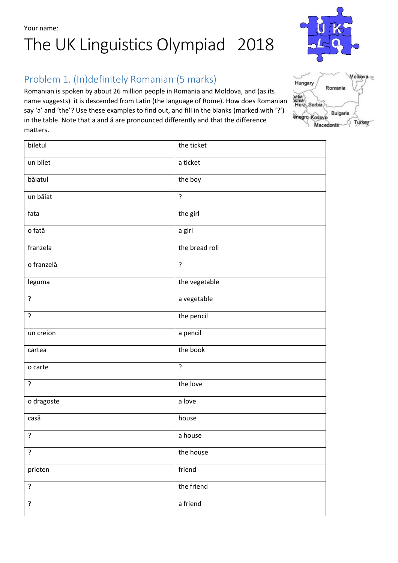Your name:

# The UK Linguistics Olympiad 2018

## Problem 1. (In)definitely Romanian (5 marks)

Romanian is spoken by about 26 million people in Romania and Moldova, and (as its name suggests) it is descended from Latin (the language of Rome). How does Romanian say 'a' and 'the'? Use these examples to find out, and fill in the blanks (marked with '?') in the table. Note that a and ă are pronounced differently and that the difference matters.

| biletul        | the ticket     |
|----------------|----------------|
| un bilet       | a ticket       |
| băiatul        | the boy        |
| un băiat       | $\overline{?}$ |
| fata           | the girl       |
| o fată         | a girl         |
| franzela       | the bread roll |
| o franzelă     | $\overline{?}$ |
| leguma         | the vegetable  |
| ?              | a vegetable    |
| $\overline{?}$ | the pencil     |
| un creion      | a pencil       |
| cartea         | the book       |
| o carte        | ?              |
| $\overline{?}$ | the love       |
| o dragoste     | a love         |
| casă           | house          |
| $\cdot$        | a house        |
| ?              | the house      |
| prieten        | friend         |
| ?              | the friend     |
| ?              | a friend       |



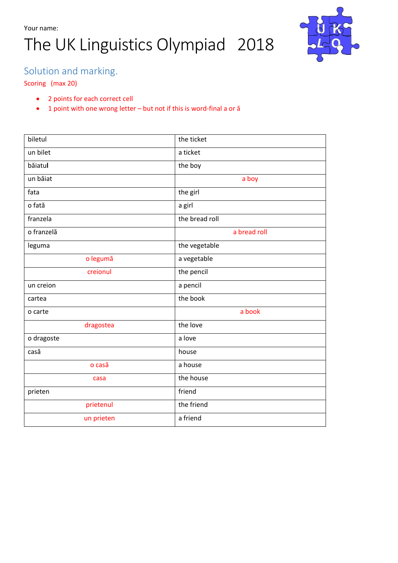

## Solution and marking.

#### Scoring (max 20)

- 2 points for each correct cell
- 1 point with one wrong letter but not if this is word-final a or ă

| biletul    | the ticket     |
|------------|----------------|
| un bilet   | a ticket       |
| băiatul    | the boy        |
| un băiat   | a boy          |
| fata       | the girl       |
| o fată     | a girl         |
| franzela   | the bread roll |
| o franzelă | a bread roll   |
| leguma     | the vegetable  |
| o legumă   | a vegetable    |
| creionul   | the pencil     |
| un creion  | a pencil       |
| cartea     | the book       |
| o carte    | a book         |
| dragostea  | the love       |
| o dragoste | a love         |
| casă       | house          |
| o casă     | a house        |
| casa       | the house      |
| prieten    | friend         |
| prietenul  | the friend     |
| un prieten | a friend       |
|            |                |